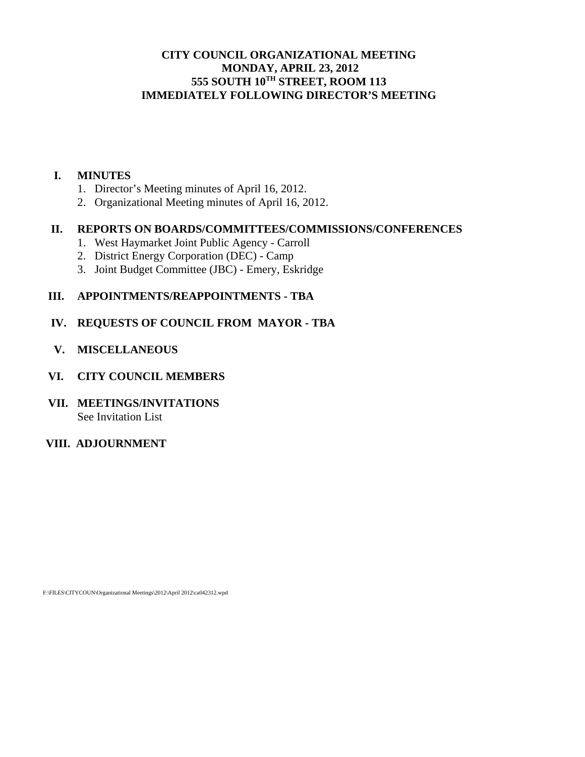# **CITY COUNCIL ORGANIZATIONAL MEETING MONDAY, APRIL 23, 2012 555 SOUTH 10TH STREET, ROOM 113 IMMEDIATELY FOLLOWING DIRECTOR'S MEETING**

#### **I. MINUTES**

- 1. Director's Meeting minutes of April 16, 2012.
- 2. Organizational Meeting minutes of April 16, 2012.

# **II. REPORTS ON BOARDS/COMMITTEES/COMMISSIONS/CONFERENCES**

- 1. West Haymarket Joint Public Agency Carroll
- 2. District Energy Corporation (DEC) Camp
- 3. Joint Budget Committee (JBC) Emery, Eskridge

# **III. APPOINTMENTS/REAPPOINTMENTS - TBA**

# **IV. REQUESTS OF COUNCIL FROM MAYOR - TBA**

 **V. MISCELLANEOUS** 

## **VI. CITY COUNCIL MEMBERS**

## **VII. MEETINGS/INVITATIONS**  See Invitation List

# **VIII. ADJOURNMENT**

F:\FILES\CITYCOUN\Organizational Meetings\2012\April 2012\ca042312.wpd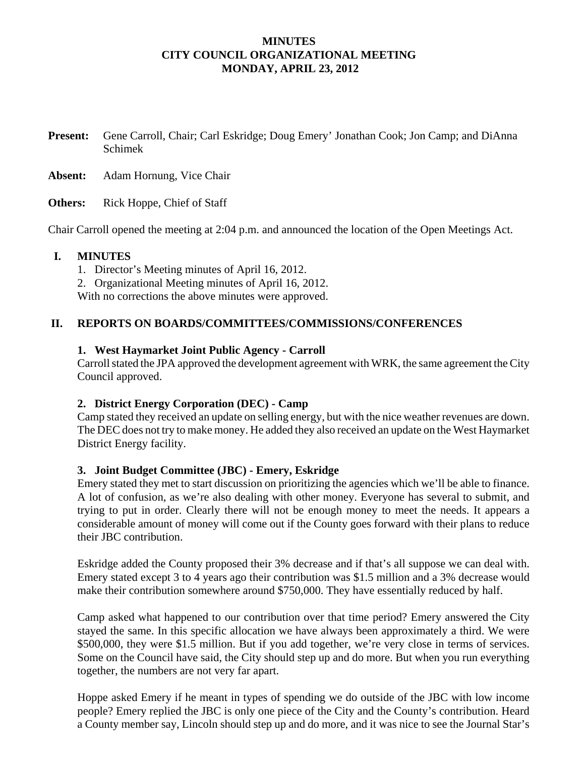## **MINUTES CITY COUNCIL ORGANIZATIONAL MEETING MONDAY, APRIL 23, 2012**

**Present:** Gene Carroll, Chair; Carl Eskridge; Doug Emery' Jonathan Cook; Jon Camp; and DiAnna Schimek

**Absent:** Adam Hornung, Vice Chair

**Others:** Rick Hoppe, Chief of Staff

Chair Carroll opened the meeting at 2:04 p.m. and announced the location of the Open Meetings Act.

## **I. MINUTES**

1. Director's Meeting minutes of April 16, 2012.

2. Organizational Meeting minutes of April 16, 2012.

With no corrections the above minutes were approved.

## **II. REPORTS ON BOARDS/COMMITTEES/COMMISSIONS/CONFERENCES**

## **1. West Haymarket Joint Public Agency - Carroll**

Carroll stated the JPA approved the development agreement with WRK, the same agreement the City Council approved.

#### **2. District Energy Corporation (DEC) - Camp**

Camp stated they received an update on selling energy, but with the nice weather revenues are down. The DEC does not try to make money. He added they also received an update on the West Haymarket District Energy facility.

#### **3. Joint Budget Committee (JBC) - Emery, Eskridge**

Emery stated they met to start discussion on prioritizing the agencies which we'll be able to finance. A lot of confusion, as we're also dealing with other money. Everyone has several to submit, and trying to put in order. Clearly there will not be enough money to meet the needs. It appears a considerable amount of money will come out if the County goes forward with their plans to reduce their JBC contribution.

Eskridge added the County proposed their 3% decrease and if that's all suppose we can deal with. Emery stated except 3 to 4 years ago their contribution was \$1.5 million and a 3% decrease would make their contribution somewhere around \$750,000. They have essentially reduced by half.

Camp asked what happened to our contribution over that time period? Emery answered the City stayed the same. In this specific allocation we have always been approximately a third. We were \$500,000, they were \$1.5 million. But if you add together, we're very close in terms of services. Some on the Council have said, the City should step up and do more. But when you run everything together, the numbers are not very far apart.

Hoppe asked Emery if he meant in types of spending we do outside of the JBC with low income people? Emery replied the JBC is only one piece of the City and the County's contribution. Heard a County member say, Lincoln should step up and do more, and it was nice to see the Journal Star's